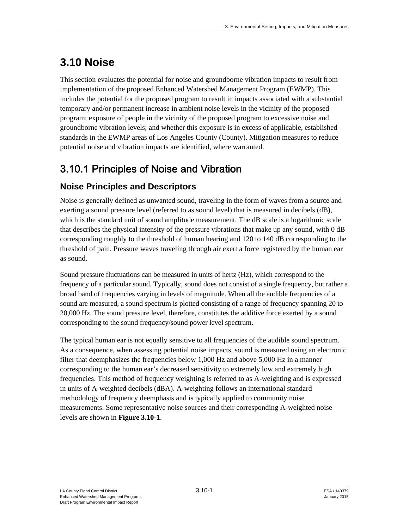# **3.10 Noise**

This section evaluates the potential for noise and groundborne vibration impacts to result from implementation of the proposed Enhanced Watershed Management Program (EWMP). This includes the potential for the proposed program to result in impacts associated with a substantial temporary and/or permanent increase in ambient noise levels in the vicinity of the proposed program; exposure of people in the vicinity of the proposed program to excessive noise and groundborne vibration levels; and whether this exposure is in excess of applicable, established standards in the EWMP areas of Los Angeles County (County). Mitigation measures to reduce potential noise and vibration impacts are identified, where warranted.

# 3.10.1 Principles of Noise and Vibration

# **Noise Principles and Descriptors**

Noise is generally defined as unwanted sound, traveling in the form of waves from a source and exerting a sound pressure level (referred to as sound level) that is measured in decibels (dB), which is the standard unit of sound amplitude measurement. The dB scale is a logarithmic scale that describes the physical intensity of the pressure vibrations that make up any sound, with 0 dB corresponding roughly to the threshold of human hearing and 120 to 140 dB corresponding to the threshold of pain. Pressure waves traveling through air exert a force registered by the human ear as sound.

Sound pressure fluctuations can be measured in units of hertz (Hz), which correspond to the frequency of a particular sound. Typically, sound does not consist of a single frequency, but rather a broad band of frequencies varying in levels of magnitude. When all the audible frequencies of a sound are measured, a sound spectrum is plotted consisting of a range of frequency spanning 20 to 20,000 Hz. The sound pressure level, therefore, constitutes the additive force exerted by a sound corresponding to the sound frequency/sound power level spectrum.

The typical human ear is not equally sensitive to all frequencies of the audible sound spectrum. As a consequence, when assessing potential noise impacts, sound is measured using an electronic filter that deemphasizes the frequencies below 1,000 Hz and above 5,000 Hz in a manner corresponding to the human ear's decreased sensitivity to extremely low and extremely high frequencies. This method of frequency weighting is referred to as A-weighting and is expressed in units of A-weighted decibels (dBA). A-weighting follows an international standard methodology of frequency deemphasis and is typically applied to community noise measurements. Some representative noise sources and their corresponding A-weighted noise levels are shown in **Figure 3.10-1**.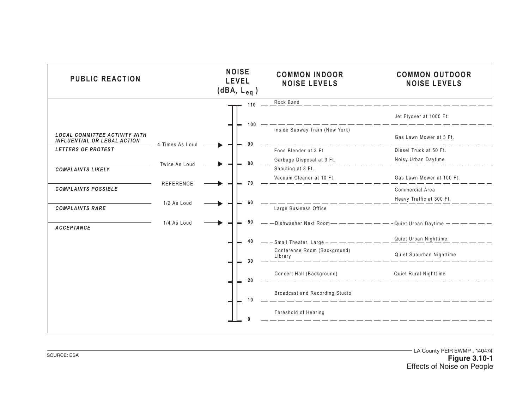| <b>PUBLIC REACTION</b>                                              |                 | <b>NOISE</b><br><b>LEVEL</b><br>$(dBA, L_{eq})$ | <b>COMMON INDOOR</b><br><b>NOISE LEVELS</b> | <b>COMMON OUTDOOR</b><br><b>NOISE LEVELS</b> |
|---------------------------------------------------------------------|-----------------|-------------------------------------------------|---------------------------------------------|----------------------------------------------|
|                                                                     |                 | 110                                             | Rock Band                                   |                                              |
|                                                                     |                 |                                                 |                                             | Jet Flyover at 1000 Ft.                      |
| <b>LOCAL COMMITTEE ACTIVITY WITH</b><br>INFLUENTIAL OR LEGAL ACTION |                 | 100                                             | Inside Subway Train (New York)              | Gas Lawn Mower at 3 Ft.                      |
| LETTERS OF PROTEST                                                  | 4 Times As Loud | 90                                              | Food Blender at 3 Ft.                       | Diesel Truck at 50 Ft.                       |
|                                                                     | Twice As Loud   | 80                                              | Garbage Disposal at 3 Ft.                   | Noisy Urban Daytime                          |
| <b>COMPLAINTS LIKELY</b>                                            |                 |                                                 | Shouting at 3 Ft.                           |                                              |
|                                                                     | REFERENCE       | 70                                              | Vacuum Cleaner at 10 Ft.                    | Gas Lawn Mower at 100 Ft.                    |
| <b>COMPLAINTS POSSIBLE</b>                                          |                 |                                                 |                                             | Commercial Area                              |
|                                                                     | 1/2 As Loud     | 60                                              |                                             | Heavy Traffic at 300 Ft.                     |
| <b>COMPLAINTS RARE</b>                                              |                 |                                                 | Large Business Office                       |                                              |
| <b>ACCEPTANCE</b>                                                   | 1/4 As Loud     | 50                                              |                                             |                                              |
|                                                                     |                 | 40                                              | $-$ Small Theater, Large $-$                | Quiet Urban Nighttime                        |
|                                                                     |                 | 30                                              | Conference Room (Background)<br>Library     | Quiet Suburban Nighttime                     |
|                                                                     |                 | 20                                              | Concert Hall (Background)                   | Quiet Rural Nighttime                        |
|                                                                     |                 | 10                                              | Broadcast and Recording Studio              |                                              |
|                                                                     |                 |                                                 | Threshold of Hearing                        |                                              |
|                                                                     |                 |                                                 |                                             |                                              |

LA County PEIR EWMP . 140474 **Figure 3.10-1** Effects of Noise on People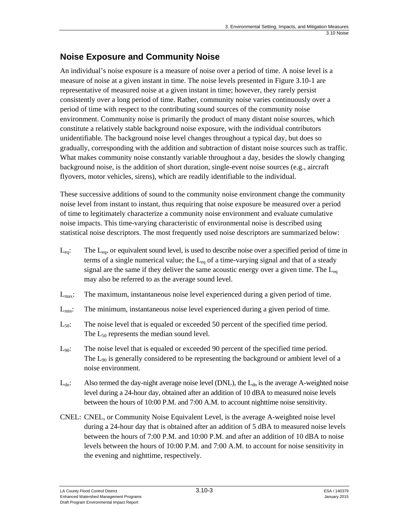# **Noise Exposure and Community Noise**

An individual's noise exposure is a measure of noise over a period of time. A noise level is a measure of noise at a given instant in time. The noise levels presented in Figure 3.10-1 are representative of measured noise at a given instant in time; however, they rarely persist consistently over a long period of time. Rather, community noise varies continuously over a period of time with respect to the contributing sound sources of the community noise environment. Community noise is primarily the product of many distant noise sources, which constitute a relatively stable background noise exposure, with the individual contributors unidentifiable. The background noise level changes throughout a typical day, but does so gradually, corresponding with the addition and subtraction of distant noise sources such as traffic. What makes community noise constantly variable throughout a day, besides the slowly changing background noise, is the addition of short duration, single-event noise sources (e.g., aircraft flyovers, motor vehicles, sirens), which are readily identifiable to the individual.

These successive additions of sound to the community noise environment change the community noise level from instant to instant, thus requiring that noise exposure be measured over a period of time to legitimately characterize a community noise environment and evaluate cumulative noise impacts. This time-varying characteristic of environmental noise is described using statistical noise descriptors. The most frequently used noise descriptors are summarized below:

- $L_{eq}$ : The  $L_{eq}$ , or equivalent sound level, is used to describe noise over a specified period of time in terms of a single numerical value; the  $L_{eq}$  of a time-varying signal and that of a steady signal are the same if they deliver the same acoustic energy over a given time. The  $L_{eq}$ may also be referred to as the average sound level.
- $L_{\text{max}}$ : The maximum, instantaneous noise level experienced during a given period of time.
- $L_{\text{min}}$ : The minimum, instantaneous noise level experienced during a given period of time.
- $L_{50}$ : The noise level that is equaled or exceeded 50 percent of the specified time period. The  $L_{50}$  represents the median sound level.
- $L_{90}$ : The noise level that is equaled or exceeded 90 percent of the specified time period. The  $L_{90}$  is generally considered to be representing the background or ambient level of a noise environment.
- $L_{dn}$ : Also termed the day-night average noise level (DNL), the  $L_{dn}$  is the average A-weighted noise level during a 24-hour day, obtained after an addition of 10 dBA to measured noise levels between the hours of 10:00 P.M. and 7:00 A.M. to account nighttime noise sensitivity.
- CNEL: CNEL, or Community Noise Equivalent Level, is the average A-weighted noise level during a 24-hour day that is obtained after an addition of 5 dBA to measured noise levels between the hours of 7:00 P.M. and 10:00 P.M. and after an addition of 10 dBA to noise levels between the hours of 10:00 P.M. and 7:00 A.M. to account for noise sensitivity in the evening and nighttime, respectively.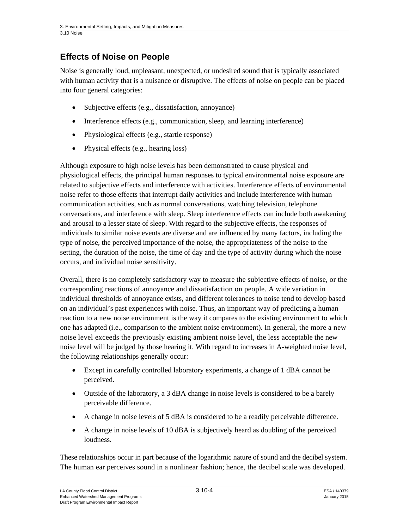## **Effects of Noise on People**

Noise is generally loud, unpleasant, unexpected, or undesired sound that is typically associated with human activity that is a nuisance or disruptive. The effects of noise on people can be placed into four general categories:

- Subjective effects (e.g., dissatisfaction, annoyance)
- Interference effects (e.g., communication, sleep, and learning interference)
- Physiological effects (e.g., startle response)
- Physical effects (e.g., hearing loss)

Although exposure to high noise levels has been demonstrated to cause physical and physiological effects, the principal human responses to typical environmental noise exposure are related to subjective effects and interference with activities. Interference effects of environmental noise refer to those effects that interrupt daily activities and include interference with human communication activities, such as normal conversations, watching television, telephone conversations, and interference with sleep. Sleep interference effects can include both awakening and arousal to a lesser state of sleep. With regard to the subjective effects, the responses of individuals to similar noise events are diverse and are influenced by many factors, including the type of noise, the perceived importance of the noise, the appropriateness of the noise to the setting, the duration of the noise, the time of day and the type of activity during which the noise occurs, and individual noise sensitivity.

Overall, there is no completely satisfactory way to measure the subjective effects of noise, or the corresponding reactions of annoyance and dissatisfaction on people. A wide variation in individual thresholds of annoyance exists, and different tolerances to noise tend to develop based on an individual's past experiences with noise. Thus, an important way of predicting a human reaction to a new noise environment is the way it compares to the existing environment to which one has adapted (i.e., comparison to the ambient noise environment). In general, the more a new noise level exceeds the previously existing ambient noise level, the less acceptable the new noise level will be judged by those hearing it. With regard to increases in A-weighted noise level, the following relationships generally occur:

- Except in carefully controlled laboratory experiments, a change of 1 dBA cannot be perceived.
- Outside of the laboratory, a 3 dBA change in noise levels is considered to be a barely perceivable difference.
- A change in noise levels of 5 dBA is considered to be a readily perceivable difference.
- A change in noise levels of 10 dBA is subjectively heard as doubling of the perceived loudness.

These relationships occur in part because of the logarithmic nature of sound and the decibel system. The human ear perceives sound in a nonlinear fashion; hence, the decibel scale was developed.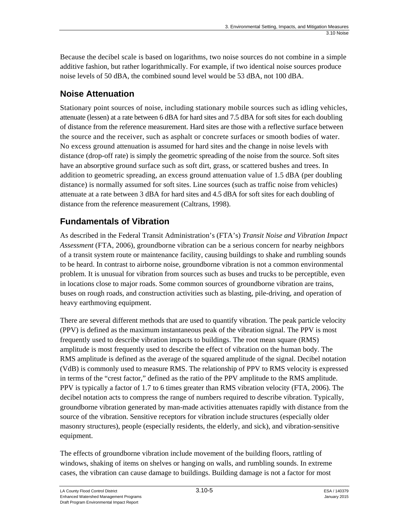Because the decibel scale is based on logarithms, two noise sources do not combine in a simple additive fashion, but rather logarithmically. For example, if two identical noise sources produce noise levels of 50 dBA, the combined sound level would be 53 dBA, not 100 dBA.

# **Noise Attenuation**

Stationary point sources of noise, including stationary mobile sources such as idling vehicles, attenuate (lessen) at a rate between 6 dBA for hard sites and 7.5 dBA for soft sites for each doubling of distance from the reference measurement. Hard sites are those with a reflective surface between the source and the receiver, such as asphalt or concrete surfaces or smooth bodies of water. No excess ground attenuation is assumed for hard sites and the change in noise levels with distance (drop-off rate) is simply the geometric spreading of the noise from the source. Soft sites have an absorptive ground surface such as soft dirt, grass, or scattered bushes and trees. In addition to geometric spreading, an excess ground attenuation value of 1.5 dBA (per doubling distance) is normally assumed for soft sites. Line sources (such as traffic noise from vehicles) attenuate at a rate between 3 dBA for hard sites and 4.5 dBA for soft sites for each doubling of distance from the reference measurement (Caltrans, 1998).

# **Fundamentals of Vibration**

As described in the Federal Transit Administration's (FTA's) *Transit Noise and Vibration Impact Assessment* (FTA, 2006), groundborne vibration can be a serious concern for nearby neighbors of a transit system route or maintenance facility, causing buildings to shake and rumbling sounds to be heard. In contrast to airborne noise, groundborne vibration is not a common environmental problem. It is unusual for vibration from sources such as buses and trucks to be perceptible, even in locations close to major roads. Some common sources of groundborne vibration are trains, buses on rough roads, and construction activities such as blasting, pile-driving, and operation of heavy earthmoving equipment.

There are several different methods that are used to quantify vibration. The peak particle velocity (PPV) is defined as the maximum instantaneous peak of the vibration signal. The PPV is most frequently used to describe vibration impacts to buildings. The root mean square (RMS) amplitude is most frequently used to describe the effect of vibration on the human body. The RMS amplitude is defined as the average of the squared amplitude of the signal. Decibel notation (VdB) is commonly used to measure RMS. The relationship of PPV to RMS velocity is expressed in terms of the "crest factor," defined as the ratio of the PPV amplitude to the RMS amplitude. PPV is typically a factor of 1.7 to 6 times greater than RMS vibration velocity (FTA, 2006). The decibel notation acts to compress the range of numbers required to describe vibration. Typically, groundborne vibration generated by man-made activities attenuates rapidly with distance from the source of the vibration. Sensitive receptors for vibration include structures (especially older masonry structures), people (especially residents, the elderly, and sick), and vibration-sensitive equipment.

The effects of groundborne vibration include movement of the building floors, rattling of windows, shaking of items on shelves or hanging on walls, and rumbling sounds. In extreme cases, the vibration can cause damage to buildings. Building damage is not a factor for most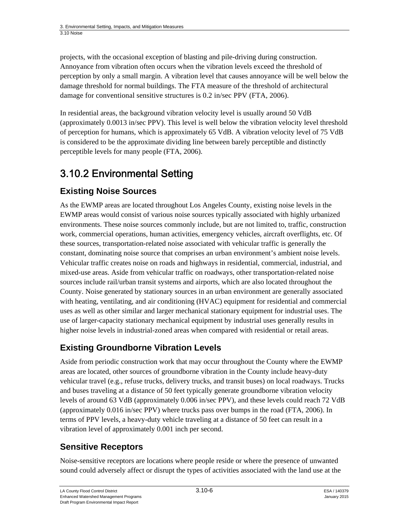projects, with the occasional exception of blasting and pile-driving during construction. Annoyance from vibration often occurs when the vibration levels exceed the threshold of perception by only a small margin. A vibration level that causes annoyance will be well below the damage threshold for normal buildings. The FTA measure of the threshold of architectural damage for conventional sensitive structures is 0.2 in/sec PPV (FTA, 2006).

In residential areas, the background vibration velocity level is usually around 50 VdB (approximately 0.0013 in/sec PPV). This level is well below the vibration velocity level threshold of perception for humans, which is approximately 65 VdB. A vibration velocity level of 75 VdB is considered to be the approximate dividing line between barely perceptible and distinctly perceptible levels for many people (FTA, 2006).

# 3.10.2 Environmental Setting

# **Existing Noise Sources**

As the EWMP areas are located throughout Los Angeles County, existing noise levels in the EWMP areas would consist of various noise sources typically associated with highly urbanized environments. These noise sources commonly include, but are not limited to, traffic, construction work, commercial operations, human activities, emergency vehicles, aircraft overflights, etc. Of these sources, transportation-related noise associated with vehicular traffic is generally the constant, dominating noise source that comprises an urban environment's ambient noise levels. Vehicular traffic creates noise on roads and highways in residential, commercial, industrial, and mixed-use areas. Aside from vehicular traffic on roadways, other transportation-related noise sources include rail/urban transit systems and airports, which are also located throughout the County. Noise generated by stationary sources in an urban environment are generally associated with heating, ventilating, and air conditioning (HVAC) equipment for residential and commercial uses as well as other similar and larger mechanical stationary equipment for industrial uses. The use of larger-capacity stationary mechanical equipment by industrial uses generally results in higher noise levels in industrial-zoned areas when compared with residential or retail areas.

# **Existing Groundborne Vibration Levels**

Aside from periodic construction work that may occur throughout the County where the EWMP areas are located, other sources of groundborne vibration in the County include heavy-duty vehicular travel (e.g., refuse trucks, delivery trucks, and transit buses) on local roadways. Trucks and buses traveling at a distance of 50 feet typically generate groundborne vibration velocity levels of around 63 VdB (approximately 0.006 in/sec PPV), and these levels could reach 72 VdB (approximately 0.016 in/sec PPV) where trucks pass over bumps in the road (FTA, 2006). In terms of PPV levels, a heavy-duty vehicle traveling at a distance of 50 feet can result in a vibration level of approximately 0.001 inch per second.

# **Sensitive Receptors**

Noise-sensitive receptors are locations where people reside or where the presence of unwanted sound could adversely affect or disrupt the types of activities associated with the land use at the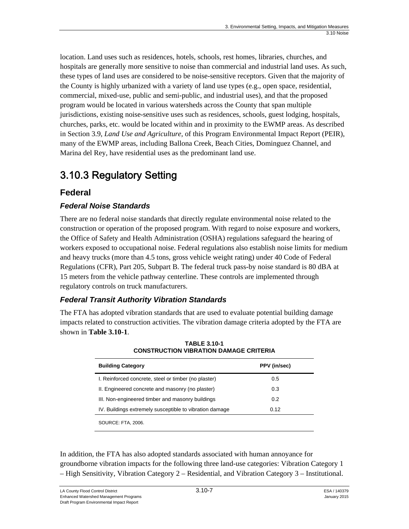location. Land uses such as residences, hotels, schools, rest homes, libraries, churches, and hospitals are generally more sensitive to noise than commercial and industrial land uses. As such, these types of land uses are considered to be noise-sensitive receptors. Given that the majority of the County is highly urbanized with a variety of land use types (e.g., open space, residential, commercial, mixed-use, public and semi-public, and industrial uses), and that the proposed program would be located in various watersheds across the County that span multiple jurisdictions, existing noise-sensitive uses such as residences, schools, guest lodging, hospitals, churches, parks, etc. would be located within and in proximity to the EWMP areas. As described in Section 3.9, *Land Use and Agriculture,* of this Program Environmental Impact Report (PEIR), many of the EWMP areas, including Ballona Creek, Beach Cities, Dominguez Channel, and Marina del Rey, have residential uses as the predominant land use.

# 3.10.3 Regulatory Setting

## **Federal**

### *Federal Noise Standards*

There are no federal noise standards that directly regulate environmental noise related to the construction or operation of the proposed program. With regard to noise exposure and workers, the Office of Safety and Health Administration (OSHA) regulations safeguard the hearing of workers exposed to occupational noise. Federal regulations also establish noise limits for medium and heavy trucks (more than 4.5 tons, gross vehicle weight rating) under 40 Code of Federal Regulations (CFR), Part 205, Subpart B. The federal truck pass-by noise standard is 80 dBA at 15 meters from the vehicle pathway centerline. These controls are implemented through regulatory controls on truck manufacturers.

### *Federal Transit Authority Vibration Standards*

The FTA has adopted vibration standards that are used to evaluate potential building damage impacts related to construction activities. The vibration damage criteria adopted by the FTA are shown in **Table 3.10-1**.

| <b>Building Category</b>                                | PPV (in/sec) |  |
|---------------------------------------------------------|--------------|--|
| I. Reinforced concrete, steel or timber (no plaster)    | 0.5          |  |
| II. Engineered concrete and masonry (no plaster)        | 0.3          |  |
| III. Non-engineered timber and masonry buildings        | 0.2          |  |
| IV. Buildings extremely susceptible to vibration damage | 0.12         |  |
| <b>SOURCE: FTA, 2006.</b>                               |              |  |

**TABLE 3.10-1 CONSTRUCTION VIBRATION DAMAGE CRITERIA** 

In addition, the FTA has also adopted standards associated with human annoyance for groundborne vibration impacts for the following three land-use categories: Vibration Category 1 – High Sensitivity, Vibration Category 2 – Residential, and Vibration Category 3 – Institutional.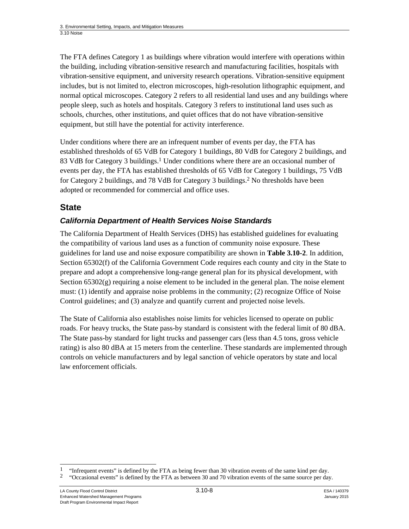The FTA defines Category 1 as buildings where vibration would interfere with operations within the building, including vibration-sensitive research and manufacturing facilities, hospitals with vibration-sensitive equipment, and university research operations. Vibration-sensitive equipment includes, but is not limited to, electron microscopes, high-resolution lithographic equipment, and normal optical microscopes. Category 2 refers to all residential land uses and any buildings where people sleep, such as hotels and hospitals. Category 3 refers to institutional land uses such as schools, churches, other institutions, and quiet offices that do not have vibration-sensitive equipment, but still have the potential for activity interference.

Under conditions where there are an infrequent number of events per day, the FTA has established thresholds of 65 VdB for Category 1 buildings, 80 VdB for Category 2 buildings, and 83 VdB for Category 3 buildings.<sup>1</sup> Under conditions where there are an occasional number of events per day, the FTA has established thresholds of 65 VdB for Category 1 buildings, 75 VdB for Category 2 buildings, and 78 VdB for Category 3 buildings.2 No thresholds have been adopted or recommended for commercial and office uses.

### **State**

### *California Department of Health Services Noise Standards*

The California Department of Health Services (DHS) has established guidelines for evaluating the compatibility of various land uses as a function of community noise exposure. These guidelines for land use and noise exposure compatibility are shown in **Table 3.10-2**. In addition, Section 65302(f) of the California Government Code requires each county and city in the State to prepare and adopt a comprehensive long-range general plan for its physical development, with Section  $65302(g)$  requiring a noise element to be included in the general plan. The noise element must: (1) identify and appraise noise problems in the community; (2) recognize Office of Noise Control guidelines; and (3) analyze and quantify current and projected noise levels.

The State of California also establishes noise limits for vehicles licensed to operate on public roads. For heavy trucks, the State pass-by standard is consistent with the federal limit of 80 dBA. The State pass-by standard for light trucks and passenger cars (less than 4.5 tons, gross vehicle rating) is also 80 dBA at 15 meters from the centerline. These standards are implemented through controls on vehicle manufacturers and by legal sanction of vehicle operators by state and local law enforcement officials.

l <sup>1</sup> "Infrequent events" is defined by the FTA as being fewer than 30 vibration events of the same kind per day.<br><sup>2</sup> "Occasional events" is defined by the FTA as between 30 and 70 vibration events of the same source per da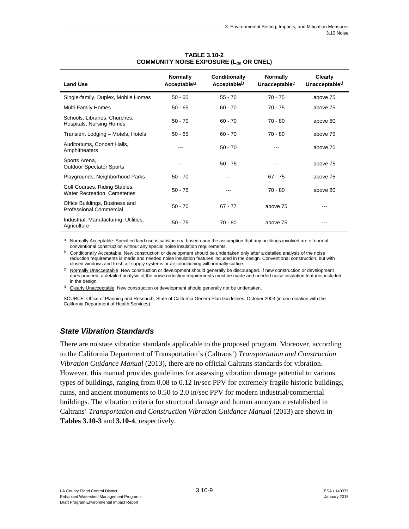| <b>Land Use</b>                                                      | <b>Normally</b><br>Acceptable <sup>a</sup> | Conditionally<br>Acceptable <sup>b</sup> | <b>Normally</b><br>UnacceptableC | <b>Clearly</b><br>Unacceptable <sup>d</sup> |
|----------------------------------------------------------------------|--------------------------------------------|------------------------------------------|----------------------------------|---------------------------------------------|
| Single-family, Duplex, Mobile Homes                                  | $50 - 60$                                  | $55 - 70$                                | $70 - 75$                        | above 75                                    |
| <b>Multi-Family Homes</b>                                            | $50 - 65$                                  | $60 - 70$                                | $70 - 75$                        | above 75                                    |
| Schools, Libraries, Churches,<br>Hospitals, Nursing Homes            | $50 - 70$                                  | $60 - 70$                                | 70 - 80                          | above 80                                    |
| Transient Lodging - Motels, Hotels                                   | $50 - 65$                                  | $60 - 70$                                | $70 - 80$                        | above 75                                    |
| Auditoriums, Concert Halls,<br>Amphitheaters                         |                                            | $50 - 70$                                |                                  | above 70                                    |
| Sports Arena,<br><b>Outdoor Spectator Sports</b>                     |                                            | $50 - 75$                                |                                  | above 75                                    |
| Playgrounds, Neighborhood Parks                                      | $50 - 70$                                  |                                          | $67 - 75$                        | above 75                                    |
| Golf Courses, Riding Stables,<br><b>Water Recreation, Cemeteries</b> | $50 - 75$                                  |                                          | $70 - 80$                        | above 80                                    |
| Office Buildings, Business and<br><b>Professional Commercial</b>     | $50 - 70$                                  | $67 - 77$                                | above 75                         | ---                                         |
| Industrial, Manufacturing, Utilities,<br>Agriculture                 | $50 - 75$                                  | 70 - 80                                  | above 75                         | $- - -$                                     |

#### **TABLE 3.10-2 COMMUNITY NOISE EXPOSURE (Ldn OR CNEL)**

a Normally Acceptable: Specified land use is satisfactory, based upon the assumption that any buildings involved are of normal conventional construction without any special noise insulation requirements.

b Conditionally Acceptable: New construction or development should be undertaken only after a detailed analysis of the noise reduction requirements is made and needed noise insulation features included in the design. Conventional construction, but with closed windows and fresh air supply systems or air conditioning will normally suffice.

c Normally Unacceptable: New construction or development should generally be discouraged. If new construction or development does proceed, a detailed analysis of the noise reduction requirements must be made and needed noise insulation features included in the design.

d Clearly Unacceptable: New construction or development should generally not be undertaken.

SOURCE: Office of Planning and Research, State of California Genera Plan Guidelines, October 2003 (in coordination with the California Department of Health Services).

### *State Vibration Standards*

There are no state vibration standards applicable to the proposed program. Moreover, according to the California Department of Transportation's (Caltrans') *Transportation and Construction Vibration Guidance Manual* (2013), there are no official Caltrans standards for vibration. However, this manual provides guidelines for assessing vibration damage potential to various types of buildings, ranging from 0.08 to 0.12 in/sec PPV for extremely fragile historic buildings, ruins, and ancient monuments to 0.50 to 2.0 in/sec PPV for modern industrial/commercial buildings. The vibration criteria for structural damage and human annoyance established in Caltrans' *Transportation and Construction Vibration Guidance Manual* (2013) are shown in **Tables 3.10-3** and **3.10-4**, respectively.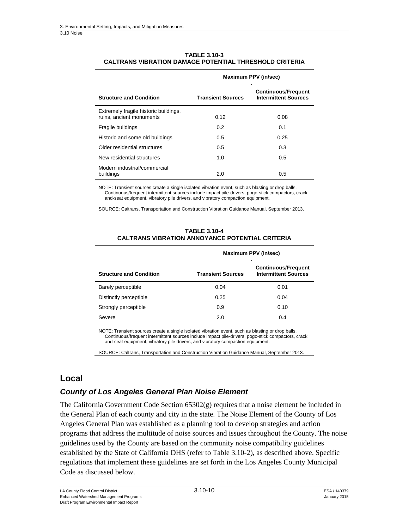#### **TABLE 3.10-3 CALTRANS VIBRATION DAMAGE POTENTIAL THRESHOLD CRITERIA**

| <b>Structure and Condition</b>                                    | <b>Transient Sources</b> | <b>Continuous/Frequent</b><br><b>Intermittent Sources</b> |
|-------------------------------------------------------------------|--------------------------|-----------------------------------------------------------|
| Extremely fragile historic buildings,<br>ruins, ancient monuments | 0.12                     | 0.08                                                      |
| Fragile buildings                                                 | 0.2                      | 0.1                                                       |
| Historic and some old buildings                                   | 0.5                      | 0.25                                                      |
| Older residential structures                                      | 0.5                      | 0.3                                                       |
| New residential structures                                        | 1.0                      | 0.5                                                       |
| Modern industrial/commercial<br>buildings                         | 2.0                      | 0.5                                                       |

#### **Maximum PPV (in/sec)**

NOTE: Transient sources create a single isolated vibration event, such as blasting or drop balls. Continuous/frequent intermittent sources include impact pile-drivers, pogo-stick compactors, crack and-seat equipment, vibratory pile drivers, and vibratory compaction equipment.

SOURCE: Caltrans, Transportation and Construction Vibration Guidance Manual, September 2013.

|                                | Maximum PPV (in/sec)     |                                                           |  |
|--------------------------------|--------------------------|-----------------------------------------------------------|--|
| <b>Structure and Condition</b> | <b>Transient Sources</b> | <b>Continuous/Frequent</b><br><b>Intermittent Sources</b> |  |
| Barely perceptible             | 0.04                     | 0.01                                                      |  |
| Distinctly perceptible         | 0.25                     | 0.04                                                      |  |
| Strongly perceptible           | 0.9                      | 0.10                                                      |  |
| Severe                         | 2.0                      | 0.4                                                       |  |

#### **TABLE 3.10-4 CALTRANS VIBRATION ANNOYANCE POTENTIAL CRITERIA**

NOTE: Transient sources create a single isolated vibration event, such as blasting or drop balls. Continuous/frequent intermittent sources include impact pile-drivers, pogo-stick compactors, crack and-seat equipment, vibratory pile drivers, and vibratory compaction equipment.

SOURCE: Caltrans, Transportation and Construction Vibration Guidance Manual, September 2013.

### **Local**

#### *County of Los Angeles General Plan Noise Element*

The California Government Code Section 65302(g) requires that a noise element be included in the General Plan of each county and city in the state. The Noise Element of the County of Los Angeles General Plan was established as a planning tool to develop strategies and action programs that address the multitude of noise sources and issues throughout the County. The noise guidelines used by the County are based on the community noise compatibility guidelines established by the State of California DHS (refer to Table 3.10-2), as described above. Specific regulations that implement these guidelines are set forth in the Los Angeles County Municipal Code as discussed below.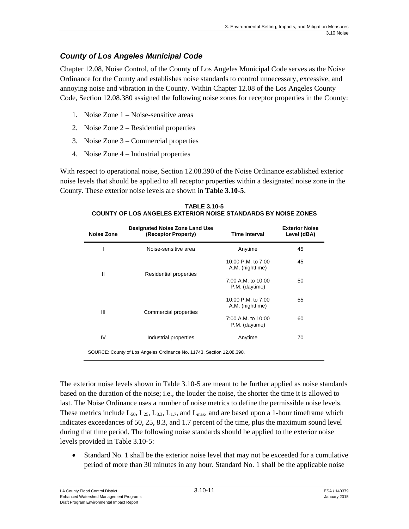### *County of Los Angeles Municipal Code*

Chapter 12.08, Noise Control, of the County of Los Angeles Municipal Code serves as the Noise Ordinance for the County and establishes noise standards to control unnecessary, excessive, and annoying noise and vibration in the County. Within Chapter 12.08 of the Los Angeles County Code, Section 12.08.380 assigned the following noise zones for receptor properties in the County:

- 1. Noise Zone 1 Noise-sensitive areas
- 2. Noise Zone 2 Residential properties
- 3. Noise Zone 3 Commercial properties
- 4. Noise Zone 4 Industrial properties

With respect to operational noise, Section 12.08.390 of the Noise Ordinance established exterior noise levels that should be applied to all receptor properties within a designated noise zone in the County. These exterior noise levels are shown in **Table 3.10-5**.

| Noise Zone                                                            | <b>Designated Noise Zone Land Use</b><br>(Receptor Property) | <b>Time Interval</b>                   | <b>Exterior Noise</b><br>Level (dBA) |  |
|-----------------------------------------------------------------------|--------------------------------------------------------------|----------------------------------------|--------------------------------------|--|
|                                                                       | Noise-sensitive area                                         | Anytime                                | 45                                   |  |
| Ш                                                                     | Residential properties                                       | 10:00 P.M. to 7:00<br>A.M. (nighttime) | 45                                   |  |
|                                                                       |                                                              | 7:00 A.M. to 10:00<br>P.M. (daytime)   | 50                                   |  |
| Ш                                                                     |                                                              | 10:00 P.M. to 7:00<br>A.M. (nighttime) | 55                                   |  |
|                                                                       | Commercial properties                                        | 7:00 A.M. to 10:00<br>P.M. (daytime)   | 60                                   |  |
| IV                                                                    | Industrial properties                                        | Anytime                                | 70                                   |  |
| SOURCE: County of Los Angeles Ordinance No. 11743, Section 12.08.390. |                                                              |                                        |                                      |  |

**TABLE 3.10-5 COUNTY OF LOS ANGELES EXTERIOR NOISE STANDARDS BY NOISE ZONES** 

The exterior noise levels shown in Table 3.10-5 are meant to be further applied as noise standards based on the duration of the noise; i.e., the louder the noise, the shorter the time it is allowed to last. The Noise Ordinance uses a number of noise metrics to define the permissible noise levels. These metrics include  $L_{50}$ ,  $L_{25}$ ,  $L_{8,3}$ ,  $L_{1.7}$ , and  $L_{\text{max}}$ , and are based upon a 1-hour timeframe which indicates exceedances of 50, 25, 8.3, and 1.7 percent of the time, plus the maximum sound level during that time period. The following noise standards should be applied to the exterior noise levels provided in Table 3.10-5:

 Standard No. 1 shall be the exterior noise level that may not be exceeded for a cumulative period of more than 30 minutes in any hour. Standard No. 1 shall be the applicable noise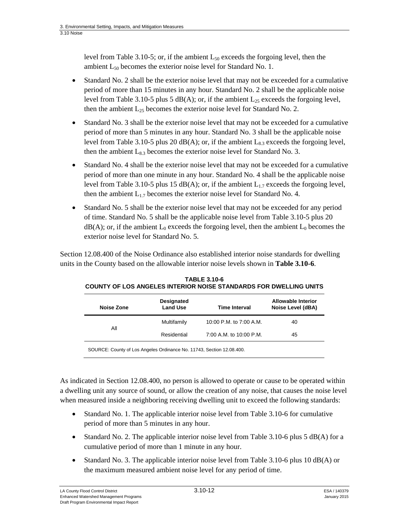level from Table 3.10-5; or, if the ambient  $L_{50}$  exceeds the forgoing level, then the ambient  $L_{50}$  becomes the exterior noise level for Standard No. 1.

- Standard No. 2 shall be the exterior noise level that may not be exceeded for a cumulative period of more than 15 minutes in any hour. Standard No. 2 shall be the applicable noise level from Table 3.10-5 plus 5 dB(A); or, if the ambient  $L_{25}$  exceeds the forgoing level, then the ambient  $L_{25}$  becomes the exterior noise level for Standard No. 2.
- Standard No. 3 shall be the exterior noise level that may not be exceeded for a cumulative period of more than 5 minutes in any hour. Standard No. 3 shall be the applicable noise level from Table 3.10-5 plus 20  $dB(A)$ ; or, if the ambient  $L_{8,3}$  exceeds the forgoing level, then the ambient  $L_{8,3}$  becomes the exterior noise level for Standard No. 3.
- Standard No. 4 shall be the exterior noise level that may not be exceeded for a cumulative period of more than one minute in any hour. Standard No. 4 shall be the applicable noise level from Table 3.10-5 plus 15 dB(A); or, if the ambient  $L_{1.7}$  exceeds the forgoing level, then the ambient  $L_{1,7}$  becomes the exterior noise level for Standard No. 4.
- Standard No. 5 shall be the exterior noise level that may not be exceeded for any period of time. Standard No. 5 shall be the applicable noise level from Table 3.10-5 plus 20  $dB(A)$ ; or, if the ambient  $L_0$  exceeds the forgoing level, then the ambient  $L_0$  becomes the exterior noise level for Standard No. 5.

Section 12.08.400 of the Noise Ordinance also established interior noise standards for dwelling units in the County based on the allowable interior noise levels shown in **Table 3.10-6**.

| Noise Zone | <b>Designated</b><br><b>Land Use</b> | <b>Time Interval</b>    | Allowable Interior<br>Noise Level (dBA) |
|------------|--------------------------------------|-------------------------|-----------------------------------------|
| All        | Multifamily                          | 10:00 P.M. to 7:00 A.M. | 40                                      |
|            | Residential                          | 7:00 A.M. to 10:00 P.M. | 45                                      |
|            |                                      |                         |                                         |

**TABLE 3.10-6 COUNTY OF LOS ANGELES INTERIOR NOISE STANDARDS FOR DWELLING UNITS**

SOURCE: County of Los Angeles Ordinance No. 11743, Section 12.08.400.

As indicated in Section 12.08.400, no person is allowed to operate or cause to be operated within a dwelling unit any source of sound, or allow the creation of any noise, that causes the noise level when measured inside a neighboring receiving dwelling unit to exceed the following standards:

- Standard No. 1. The applicable interior noise level from Table 3.10-6 for cumulative period of more than 5 minutes in any hour.
- Standard No. 2. The applicable interior noise level from Table 3.10-6 plus 5 dB(A) for a cumulative period of more than 1 minute in any hour.
- Standard No. 3. The applicable interior noise level from Table 3.10-6 plus 10 dB(A) or the maximum measured ambient noise level for any period of time.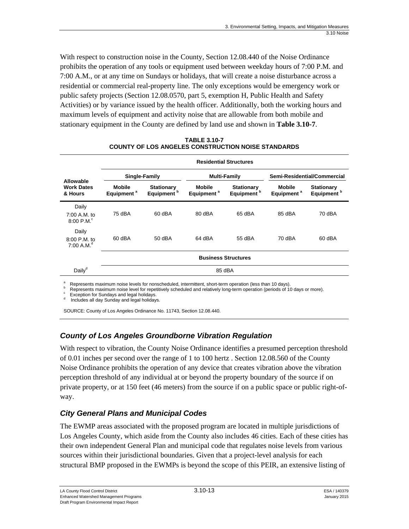With respect to construction noise in the County, Section 12.08.440 of the Noise Ordinance prohibits the operation of any tools or equipment used between weekday hours of 7:00 P.M. and 7:00 A.M., or at any time on Sundays or holidays, that will create a noise disturbance across a residential or commercial real-property line. The only exceptions would be emergency work or public safety projects (Section 12.08.0570, part 5, exemption H, Public Health and Safety Activities) or by variance issued by the health officer. Additionally, both the working hours and maximum levels of equipment and activity noise that are allowable from both mobile and stationary equipment in the County are defined by land use and shown in **Table 3.10-7**.

|                                           |                                         |                                             |                                  | <b>Residential Structures</b>               |                                         |                                             |
|-------------------------------------------|-----------------------------------------|---------------------------------------------|----------------------------------|---------------------------------------------|-----------------------------------------|---------------------------------------------|
|                                           | Single-Family                           |                                             | <b>Multi-Family</b>              |                                             |                                         | Semi-Residential/Commercial                 |
| Allowable<br><b>Work Dates</b><br>& Hours | <b>Mobile</b><br>Equipment <sup>a</sup> | <b>Stationary</b><br>Equipment <sup>b</sup> | Mobile<br>Equipment <sup>a</sup> | <b>Stationary</b><br>Equipment <sup>b</sup> | <b>Mobile</b><br>Equipment <sup>a</sup> | <b>Stationary</b><br>Equipment <sup>b</sup> |
| Daily                                     |                                         |                                             |                                  |                                             |                                         |                                             |
| 7:00 A.M. to<br>8:00 P.M. <sup>c</sup>    | 75 dBA                                  | 60 dBA                                      | 80 dBA                           | 65 dBA                                      | 85 dBA                                  | 70 dBA                                      |
| Daily<br>8:00 P.M. to<br>7:00 A.M. $^d$   | 60 dBA                                  | 50 dBA                                      | 64 dBA                           | 55 dBA                                      | 70 dBA                                  | 60 dBA                                      |
|                                           |                                         |                                             | <b>Business Structures</b>       |                                             |                                         |                                             |
| Daily <sup>d</sup>                        |                                         |                                             | 85 dBA                           |                                             |                                         |                                             |

#### **TABLE 3.10-7 COUNTY OF LOS ANGELES CONSTRUCTION NOISE STANDARDS**

<sup>a</sup> Represents maximum noise levels for nonscheduled, intermittent, short-term operation (less than 10 days).<br>
<sup>b</sup> Represents maximum noise level for repetitively scheduled and relatively long-term operation (periods of 1

SOURCE: County of Los Angeles Ordinance No. 11743, Section 12.08.440.

### *County of Los Angeles Groundborne Vibration Regulation*

With respect to vibration, the County Noise Ordinance identifies a presumed perception threshold of 0.01 inches per second over the range of 1 to 100 hertz . Section 12.08.560 of the County Noise Ordinance prohibits the operation of any device that creates vibration above the vibration perception threshold of any individual at or beyond the property boundary of the source if on private property, or at 150 feet (46 meters) from the source if on a public space or public right-ofway.

### *City General Plans and Municipal Codes*

The EWMP areas associated with the proposed program are located in multiple jurisdictions of Los Angeles County, which aside from the County also includes 46 cities. Each of these cities has their own independent General Plan and municipal code that regulates noise levels from various sources within their jurisdictional boundaries. Given that a project-level analysis for each structural BMP proposed in the EWMPs is beyond the scope of this PEIR, an extensive listing of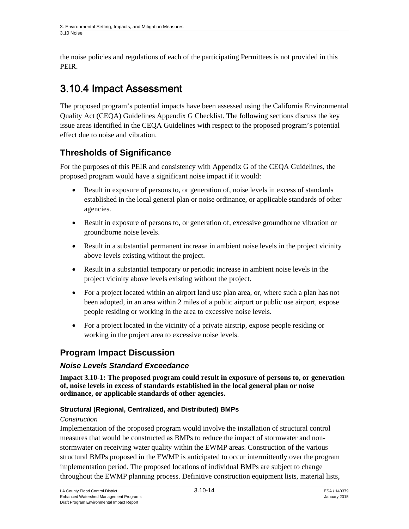the noise policies and regulations of each of the participating Permittees is not provided in this PEIR.

# 3.10.4 Impact Assessment

The proposed program's potential impacts have been assessed using the California Environmental Quality Act (CEQA) Guidelines Appendix G Checklist. The following sections discuss the key issue areas identified in the CEQA Guidelines with respect to the proposed program's potential effect due to noise and vibration.

# **Thresholds of Significance**

For the purposes of this PEIR and consistency with Appendix G of the CEQA Guidelines, the proposed program would have a significant noise impact if it would:

- Result in exposure of persons to, or generation of, noise levels in excess of standards established in the local general plan or noise ordinance, or applicable standards of other agencies.
- Result in exposure of persons to, or generation of, excessive groundborne vibration or groundborne noise levels.
- Result in a substantial permanent increase in ambient noise levels in the project vicinity above levels existing without the project.
- Result in a substantial temporary or periodic increase in ambient noise levels in the project vicinity above levels existing without the project.
- For a project located within an airport land use plan area, or, where such a plan has not been adopted, in an area within 2 miles of a public airport or public use airport, expose people residing or working in the area to excessive noise levels.
- For a project located in the vicinity of a private airstrip, expose people residing or working in the project area to excessive noise levels.

## **Program Impact Discussion**

### *Noise Levels Standard Exceedance*

**Impact 3.10-1: The proposed program could result in exposure of persons to, or generation of, noise levels in excess of standards established in the local general plan or noise ordinance, or applicable standards of other agencies.** 

### **Structural (Regional, Centralized, and Distributed) BMPs**

### *Construction*

Implementation of the proposed program would involve the installation of structural control measures that would be constructed as BMPs to reduce the impact of stormwater and nonstormwater on receiving water quality within the EWMP areas. Construction of the various structural BMPs proposed in the EWMP is anticipated to occur intermittently over the program implementation period. The proposed locations of individual BMPs are subject to change throughout the EWMP planning process. Definitive construction equipment lists, material lists,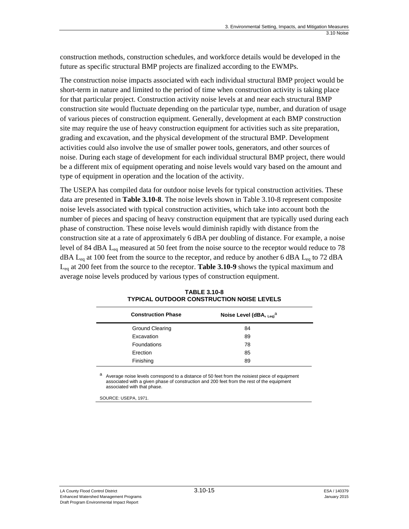construction methods, construction schedules, and workforce details would be developed in the future as specific structural BMP projects are finalized according to the EWMPs.

The construction noise impacts associated with each individual structural BMP project would be short-term in nature and limited to the period of time when construction activity is taking place for that particular project. Construction activity noise levels at and near each structural BMP construction site would fluctuate depending on the particular type, number, and duration of usage of various pieces of construction equipment. Generally, development at each BMP construction site may require the use of heavy construction equipment for activities such as site preparation, grading and excavation, and the physical development of the structural BMP. Development activities could also involve the use of smaller power tools, generators, and other sources of noise. During each stage of development for each individual structural BMP project, there would be a different mix of equipment operating and noise levels would vary based on the amount and type of equipment in operation and the location of the activity.

The USEPA has compiled data for outdoor noise levels for typical construction activities. These data are presented in **Table 3.10-8**. The noise levels shown in Table 3.10-8 represent composite noise levels associated with typical construction activities, which take into account both the number of pieces and spacing of heavy construction equipment that are typically used during each phase of construction. These noise levels would diminish rapidly with distance from the construction site at a rate of approximately 6 dBA per doubling of distance. For example, a noise level of 84 dBA  $L_{eq}$  measured at 50 feet from the noise source to the receptor would reduce to 78  $dBA$  L<sub>eq</sub> at 100 feet from the source to the receptor, and reduce by another 6 dBA L<sub>eq</sub> to 72 dBA Leq at 200 feet from the source to the receptor. **Table 3.10-9** shows the typical maximum and average noise levels produced by various types of construction equipment.

| <b>Construction Phase</b> | Noise Level (dBA, $_{\text{Leq}}$ <sup>a</sup> |
|---------------------------|------------------------------------------------|
| <b>Ground Clearing</b>    | 84                                             |
| Excavation                | 89                                             |
| Foundations               | 78                                             |
| Erection                  | 85                                             |
| Finishing                 | 89                                             |

| <b>TABLE 3.10-8</b>                       |
|-------------------------------------------|
| TYPICAL OUTDOOR CONSTRUCTION NOISE LEVELS |

a Average noise levels correspond to a distance of 50 feet from the noisiest piece of equipment associated with a given phase of construction and 200 feet from the rest of the equipment associated with that phase.

SOURCE: USEPA, 1971.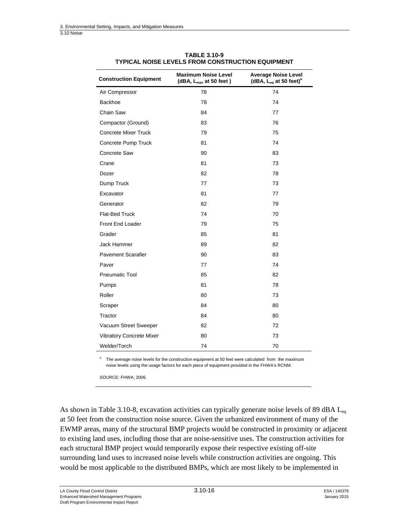| <b>Construction Equipment</b>   | <b>Maximum Noise Level</b><br>(dBA, $L_{max}$ at 50 feet) | <b>Average Noise Level</b><br>(dBA, $L_{eq}$ at 50 feet) <sup>a</sup> |
|---------------------------------|-----------------------------------------------------------|-----------------------------------------------------------------------|
| Air Compressor                  | 78                                                        | 74                                                                    |
| <b>Backhoe</b>                  | 78                                                        | 74                                                                    |
| Chain Saw                       | 84                                                        | 77                                                                    |
| Compactor (Ground)              | 83                                                        | 76                                                                    |
| Concrete Mixer Truck            | 79                                                        | 75                                                                    |
| Concrete Pump Truck             | 81                                                        | 74                                                                    |
| Concrete Saw                    | 90                                                        | 83                                                                    |
| Crane                           | 81                                                        | 73                                                                    |
| Dozer                           | 82                                                        | 78                                                                    |
| Dump Truck                      | 77                                                        | 73                                                                    |
| Excavator                       | 81                                                        | 77                                                                    |
| Generator                       | 82                                                        | 79                                                                    |
| <b>Flat-Bed Truck</b>           | 74                                                        | 70                                                                    |
| Front End Loader                | 79                                                        | 75                                                                    |
| Grader                          | 85                                                        | 81                                                                    |
| Jack Hammer                     | 89                                                        | 82                                                                    |
| <b>Pavement Scarafier</b>       | 90                                                        | 83                                                                    |
| Paver                           | 77                                                        | 74                                                                    |
| <b>Pneumatic Tool</b>           | 85                                                        | 82                                                                    |
| Pumps                           | 81                                                        | 78                                                                    |
| Roller                          | 80                                                        | 73                                                                    |
| Scraper                         | 84                                                        | 80                                                                    |
| Tractor                         | 84                                                        | 80                                                                    |
| Vacuum Street Sweeper           | 82                                                        | 72                                                                    |
| <b>Vibratory Concrete Mixer</b> | 80                                                        | 73                                                                    |
| Welder/Torch                    | 74                                                        | 70                                                                    |

#### **TABLE 3.10-9 TYPICAL NOISE LEVELS FROM CONSTRUCTION EQUIPMENT**

a The average noise levels for the construction equipment at 50 feet were calculated from the maximum noise levels using the usage factors for each piece of equipment provided in the FHWA's RCNM.

SOURCE: FHWA, 2006.

As shown in Table 3.10-8, excavation activities can typically generate noise levels of 89 dBA  $L_{eq}$ at 50 feet from the construction noise source. Given the urbanized environment of many of the EWMP areas, many of the structural BMP projects would be constructed in proximity or adjacent to existing land uses, including those that are noise-sensitive uses. The construction activities for each structural BMP project would temporarily expose their respective existing off-site surrounding land uses to increased noise levels while construction activities are ongoing. This would be most applicable to the distributed BMPs, which are most likely to be implemented in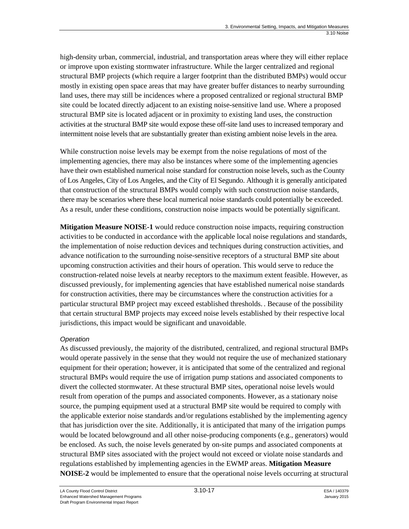high-density urban, commercial, industrial, and transportation areas where they will either replace or improve upon existing stormwater infrastructure. While the larger centralized and regional structural BMP projects (which require a larger footprint than the distributed BMPs) would occur mostly in existing open space areas that may have greater buffer distances to nearby surrounding land uses, there may still be incidences where a proposed centralized or regional structural BMP site could be located directly adjacent to an existing noise-sensitive land use. Where a proposed structural BMP site is located adjacent or in proximity to existing land uses, the construction activities at the structural BMP site would expose these off-site land uses to increased temporary and intermittent noise levels that are substantially greater than existing ambient noise levels in the area.

While construction noise levels may be exempt from the noise regulations of most of the implementing agencies, there may also be instances where some of the implementing agencies have their own established numerical noise standard for construction noise levels, such as the County of Los Angeles, City of Los Angeles, and the City of El Segundo. Although it is generally anticipated that construction of the structural BMPs would comply with such construction noise standards, there may be scenarios where these local numerical noise standards could potentially be exceeded. As a result, under these conditions, construction noise impacts would be potentially significant.

**Mitigation Measure NOISE-1** would reduce construction noise impacts, requiring construction activities to be conducted in accordance with the applicable local noise regulations and standards, the implementation of noise reduction devices and techniques during construction activities, and advance notification to the surrounding noise-sensitive receptors of a structural BMP site about upcoming construction activities and their hours of operation. This would serve to reduce the construction-related noise levels at nearby receptors to the maximum extent feasible. However, as discussed previously, for implementing agencies that have established numerical noise standards for construction activities, there may be circumstances where the construction activities for a particular structural BMP project may exceed established thresholds. . Because of the possibility that certain structural BMP projects may exceed noise levels established by their respective local jurisdictions, this impact would be significant and unavoidable.

### *Operation*

As discussed previously, the majority of the distributed, centralized, and regional structural BMPs would operate passively in the sense that they would not require the use of mechanized stationary equipment for their operation; however, it is anticipated that some of the centralized and regional structural BMPs would require the use of irrigation pump stations and associated components to divert the collected stormwater. At these structural BMP sites, operational noise levels would result from operation of the pumps and associated components. However, as a stationary noise source, the pumping equipment used at a structural BMP site would be required to comply with the applicable exterior noise standards and/or regulations established by the implementing agency that has jurisdiction over the site. Additionally, it is anticipated that many of the irrigation pumps would be located belowground and all other noise-producing components (e.g., generators) would be enclosed. As such, the noise levels generated by on-site pumps and associated components at structural BMP sites associated with the project would not exceed or violate noise standards and regulations established by implementing agencies in the EWMP areas. **Mitigation Measure NOISE-2** would be implemented to ensure that the operational noise levels occurring at structural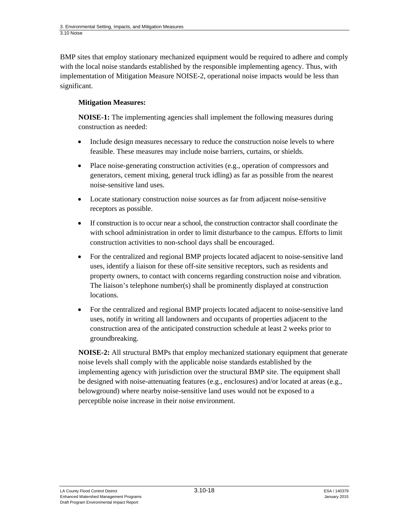BMP sites that employ stationary mechanized equipment would be required to adhere and comply with the local noise standards established by the responsible implementing agency. Thus, with implementation of Mitigation Measure NOISE-2, operational noise impacts would be less than significant.

### **Mitigation Measures:**

**NOISE-1:** The implementing agencies shall implement the following measures during construction as needed:

- Include design measures necessary to reduce the construction noise levels to where feasible. These measures may include noise barriers, curtains, or shields.
- Place noise-generating construction activities (e.g., operation of compressors and generators, cement mixing, general truck idling) as far as possible from the nearest noise-sensitive land uses.
- Locate stationary construction noise sources as far from adjacent noise-sensitive receptors as possible.
- If construction is to occur near a school, the construction contractor shall coordinate the with school administration in order to limit disturbance to the campus. Efforts to limit construction activities to non-school days shall be encouraged.
- For the centralized and regional BMP projects located adjacent to noise-sensitive land uses, identify a liaison for these off-site sensitive receptors, such as residents and property owners, to contact with concerns regarding construction noise and vibration. The liaison's telephone number(s) shall be prominently displayed at construction locations.
- For the centralized and regional BMP projects located adjacent to noise-sensitive land uses, notify in writing all landowners and occupants of properties adjacent to the construction area of the anticipated construction schedule at least 2 weeks prior to groundbreaking.

**NOISE-2:** All structural BMPs that employ mechanized stationary equipment that generate noise levels shall comply with the applicable noise standards established by the implementing agency with jurisdiction over the structural BMP site. The equipment shall be designed with noise-attenuating features (e.g., enclosures) and/or located at areas (e.g., belowground) where nearby noise-sensitive land uses would not be exposed to a perceptible noise increase in their noise environment.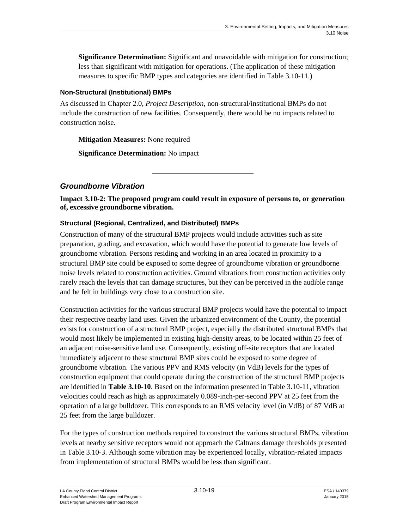**Significance Determination:** Significant and unavoidable with mitigation for construction; less than significant with mitigation for operations. (The application of these mitigation measures to specific BMP types and categories are identified in Table 3.10-11.)

### **Non-Structural (Institutional) BMPs**

As discussed in Chapter 2.0, *Project Description*, non-structural/institutional BMPs do not include the construction of new facilities. Consequently, there would be no impacts related to construction noise.

**Mitigation Measures:** None required

**Significance Determination:** No impact

### *Groundborne Vibration*

**Impact 3.10-2: The proposed program could result in exposure of persons to, or generation of, excessive groundborne vibration.** 

### **Structural (Regional, Centralized, and Distributed) BMPs**

Construction of many of the structural BMP projects would include activities such as site preparation, grading, and excavation, which would have the potential to generate low levels of groundborne vibration. Persons residing and working in an area located in proximity to a structural BMP site could be exposed to some degree of groundborne vibration or groundborne noise levels related to construction activities. Ground vibrations from construction activities only rarely reach the levels that can damage structures, but they can be perceived in the audible range and be felt in buildings very close to a construction site.

Construction activities for the various structural BMP projects would have the potential to impact their respective nearby land uses. Given the urbanized environment of the County, the potential exists for construction of a structural BMP project, especially the distributed structural BMPs that would most likely be implemented in existing high-density areas, to be located within 25 feet of an adjacent noise-sensitive land use. Consequently, existing off-site receptors that are located immediately adjacent to these structural BMP sites could be exposed to some degree of groundborne vibration. The various PPV and RMS velocity (in VdB) levels for the types of construction equipment that could operate during the construction of the structural BMP projects are identified in **Table 3.10-10**. Based on the information presented in Table 3.10-11, vibration velocities could reach as high as approximately 0.089-inch-per-second PPV at 25 feet from the operation of a large bulldozer. This corresponds to an RMS velocity level (in VdB) of 87 VdB at 25 feet from the large bulldozer.

For the types of construction methods required to construct the various structural BMPs, vibration levels at nearby sensitive receptors would not approach the Caltrans damage thresholds presented in Table 3.10-3. Although some vibration may be experienced locally, vibration-related impacts from implementation of structural BMPs would be less than significant.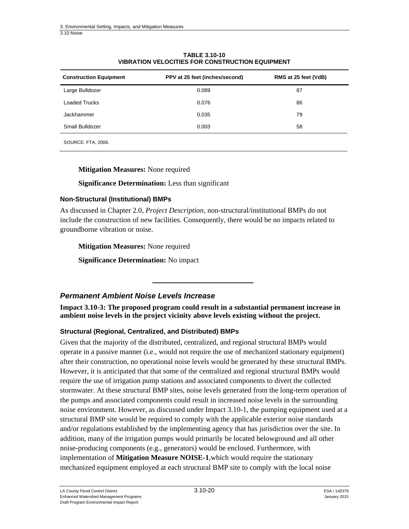| <b>Construction Equipment</b> | PPV at 25 feet (inches/second) | RMS at 25 feet (VdB) |
|-------------------------------|--------------------------------|----------------------|
| Large Bulldozer               | 0.089                          | 87                   |
| Loaded Trucks                 | 0.076                          | 86                   |
| Jackhammer                    | 0.035                          | 79                   |
| Small Bulldozer               | 0.003                          | 58                   |
| SOURCE: FTA, 2006.            |                                |                      |

#### **TABLE 3.10-10 VIBRATION VELOCITIES FOR CONSTRUCTION EQUIPMENT**

#### **Mitigation Measures:** None required

**Significance Determination:** Less than significant

#### **Non-Structural (Institutional) BMPs**

As discussed in Chapter 2.0, *Project Description*, non-structural/institutional BMPs do not include the construction of new facilities. Consequently, there would be no impacts related to groundborne vibration or noise.

**Mitigation Measures:** None required

**Significance Determination:** No impact

### *Permanent Ambient Noise Levels Increase*

**Impact 3.10-3: The proposed program could result in a substantial permanent increase in ambient noise levels in the project vicinity above levels existing without the project.** 

#### **Structural (Regional, Centralized, and Distributed) BMPs**

Given that the majority of the distributed, centralized, and regional structural BMPs would operate in a passive manner (i.e., would not require the use of mechanized stationary equipment) after their construction, no operational noise levels would be generated by these structural BMPs. However, it is anticipated that that some of the centralized and regional structural BMPs would require the use of irrigation pump stations and associated components to divert the collected stormwater. At these structural BMP sites, noise levels generated from the long-term operation of the pumps and associated components could result in increased noise levels in the surrounding noise environment. However, as discussed under Impact 3.10-1, the pumping equipment used at a structural BMP site would be required to comply with the applicable exterior noise standards and/or regulations established by the implementing agency that has jurisdiction over the site. In addition, many of the irrigation pumps would primarily be located belowground and all other noise-producing components (e.g., generators) would be enclosed. Furthermore, with implementation of **Mitigation Measure NOISE-1**,which would require the stationary mechanized equipment employed at each structural BMP site to comply with the local noise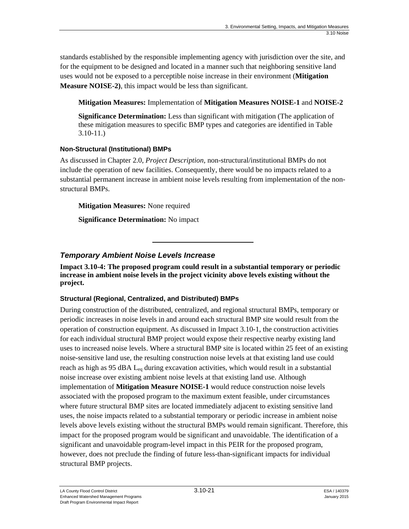standards established by the responsible implementing agency with jurisdiction over the site, and for the equipment to be designed and located in a manner such that neighboring sensitive land uses would not be exposed to a perceptible noise increase in their environment (**Mitigation Measure NOISE-2)**, this impact would be less than significant.

**Mitigation Measures:** Implementation of **Mitigation Measures NOISE-1** and **NOISE-2** 

**Significance Determination:** Less than significant with mitigation (The application of these mitigation measures to specific BMP types and categories are identified in Table 3.10-11.)

### **Non-Structural (Institutional) BMPs**

As discussed in Chapter 2.0, *Project Description*, non-structural/institutional BMPs do not include the operation of new facilities. Consequently, there would be no impacts related to a substantial permanent increase in ambient noise levels resulting from implementation of the nonstructural BMPs.

**Mitigation Measures:** None required

**Significance Determination:** No impact

### *Temporary Ambient Noise Levels Increase*

**Impact 3.10-4: The proposed program could result in a substantial temporary or periodic increase in ambient noise levels in the project vicinity above levels existing without the project.** 

### **Structural (Regional, Centralized, and Distributed) BMPs**

During construction of the distributed, centralized, and regional structural BMPs, temporary or periodic increases in noise levels in and around each structural BMP site would result from the operation of construction equipment. As discussed in Impact 3.10-1, the construction activities for each individual structural BMP project would expose their respective nearby existing land uses to increased noise levels. Where a structural BMP site is located within 25 feet of an existing noise-sensitive land use, the resulting construction noise levels at that existing land use could reach as high as 95 dBA  $L_{eq}$  during excavation activities, which would result in a substantial noise increase over existing ambient noise levels at that existing land use. Although implementation of **Mitigation Measure NOISE-1** would reduce construction noise levels associated with the proposed program to the maximum extent feasible, under circumstances where future structural BMP sites are located immediately adjacent to existing sensitive land uses, the noise impacts related to a substantial temporary or periodic increase in ambient noise levels above levels existing without the structural BMPs would remain significant. Therefore, this impact for the proposed program would be significant and unavoidable. The identification of a significant and unavoidable program-level impact in this PEIR for the proposed program, however, does not preclude the finding of future less-than-significant impacts for individual structural BMP projects.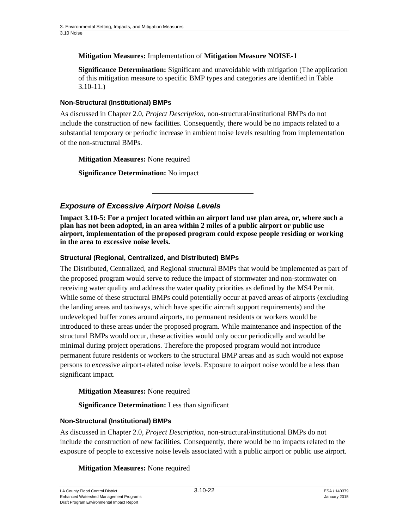### **Mitigation Measures:** Implementation of **Mitigation Measure NOISE-1**

**Significance Determination:** Significant and unavoidable with mitigation (The application of this mitigation measure to specific BMP types and categories are identified in Table 3.10-11.)

### **Non-Structural (Institutional) BMPs**

As discussed in Chapter 2.0, *Project Description*, non-structural/institutional BMPs do not include the construction of new facilities. Consequently, there would be no impacts related to a substantial temporary or periodic increase in ambient noise levels resulting from implementation of the non-structural BMPs.

**Mitigation Measures:** None required

**Significance Determination:** No impact

### *Exposure of Excessive Airport Noise Levels*

**Impact 3.10-5: For a project located within an airport land use plan area, or, where such a plan has not been adopted, in an area within 2 miles of a public airport or public use airport, implementation of the proposed program could expose people residing or working in the area to excessive noise levels.** 

### **Structural (Regional, Centralized, and Distributed) BMPs**

The Distributed, Centralized, and Regional structural BMPs that would be implemented as part of the proposed program would serve to reduce the impact of stormwater and non-stormwater on receiving water quality and address the water quality priorities as defined by the MS4 Permit. While some of these structural BMPs could potentially occur at paved areas of airports (excluding the landing areas and taxiways, which have specific aircraft support requirements) and the undeveloped buffer zones around airports, no permanent residents or workers would be introduced to these areas under the proposed program. While maintenance and inspection of the structural BMPs would occur, these activities would only occur periodically and would be minimal during project operations. Therefore the proposed program would not introduce permanent future residents or workers to the structural BMP areas and as such would not expose persons to excessive airport-related noise levels. Exposure to airport noise would be a less than significant impact.

**Mitigation Measures:** None required

**Significance Determination:** Less than significant

### **Non-Structural (Institutional) BMPs**

As discussed in Chapter 2.0, *Project Description*, non-structural/institutional BMPs do not include the construction of new facilities. Consequently, there would be no impacts related to the exposure of people to excessive noise levels associated with a public airport or public use airport.

### **Mitigation Measures:** None required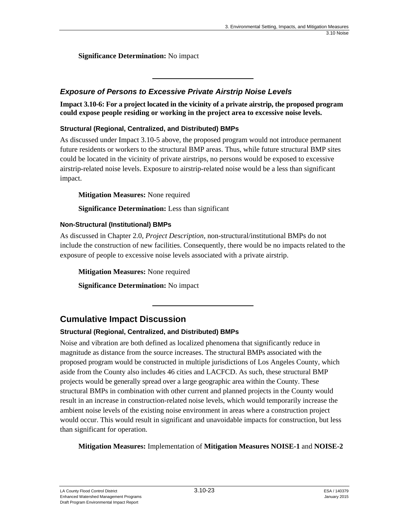**Significance Determination:** No impact

### *Exposure of Persons to Excessive Private Airstrip Noise Levels*

**Impact 3.10-6: For a project located in the vicinity of a private airstrip, the proposed program could expose people residing or working in the project area to excessive noise levels.** 

### **Structural (Regional, Centralized, and Distributed) BMPs**

As discussed under Impact 3.10-5 above, the proposed program would not introduce permanent future residents or workers to the structural BMP areas. Thus, while future structural BMP sites could be located in the vicinity of private airstrips, no persons would be exposed to excessive airstrip-related noise levels. Exposure to airstrip-related noise would be a less than significant impact.

**Mitigation Measures:** None required

**Significance Determination:** Less than significant

### **Non-Structural (Institutional) BMPs**

As discussed in Chapter 2.0, *Project Description*, non-structural/institutional BMPs do not include the construction of new facilities. Consequently, there would be no impacts related to the exposure of people to excessive noise levels associated with a private airstrip.

**Mitigation Measures:** None required

**Significance Determination:** No impact

## **Cumulative Impact Discussion**

### **Structural (Regional, Centralized, and Distributed) BMPs**

Noise and vibration are both defined as localized phenomena that significantly reduce in magnitude as distance from the source increases. The structural BMPs associated with the proposed program would be constructed in multiple jurisdictions of Los Angeles County, which aside from the County also includes 46 cities and LACFCD. As such, these structural BMP projects would be generally spread over a large geographic area within the County. These structural BMPs in combination with other current and planned projects in the County would result in an increase in construction-related noise levels, which would temporarily increase the ambient noise levels of the existing noise environment in areas where a construction project would occur. This would result in significant and unavoidable impacts for construction, but less than significant for operation.

**Mitigation Measures:** Implementation of **Mitigation Measures NOISE-1** and **NOISE-2**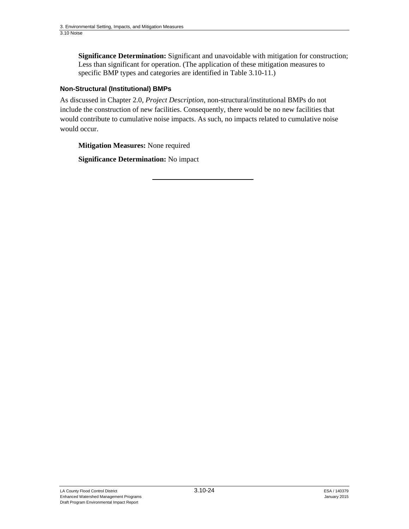**Significance Determination:** Significant and unavoidable with mitigation for construction; Less than significant for operation. (The application of these mitigation measures to specific BMP types and categories are identified in Table 3.10-11.)

### **Non-Structural (Institutional) BMPs**

As discussed in Chapter 2.0, *Project Description*, non-structural/institutional BMPs do not include the construction of new facilities. Consequently, there would be no new facilities that would contribute to cumulative noise impacts. As such, no impacts related to cumulative noise would occur.

**Mitigation Measures:** None required

**Significance Determination:** No impact